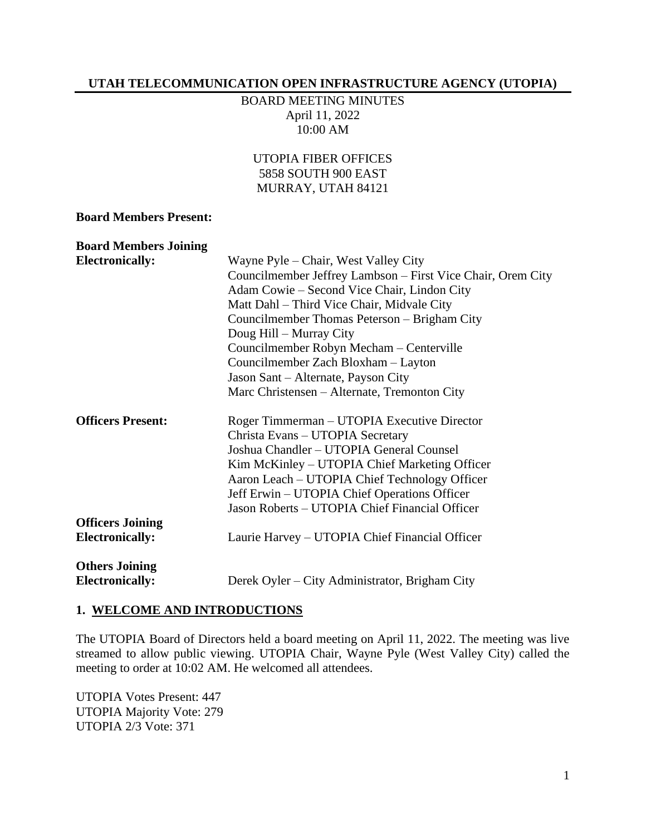#### **UTAH TELECOMMUNICATION OPEN INFRASTRUCTURE AGENCY (UTOPIA)**

BOARD MEETING MINUTES April 11, 2022 10:00 AM

UTOPIA FIBER OFFICES 5858 SOUTH 900 EAST MURRAY, UTAH 84121

#### **Board Members Present:**

| <b>Board Members Joining</b> |                                                             |
|------------------------------|-------------------------------------------------------------|
| <b>Electronically:</b>       | Wayne Pyle – Chair, West Valley City                        |
|                              | Councilmember Jeffrey Lambson – First Vice Chair, Orem City |
|                              | Adam Cowie – Second Vice Chair, Lindon City                 |
|                              | Matt Dahl - Third Vice Chair, Midvale City                  |
|                              | Councilmember Thomas Peterson – Brigham City                |
|                              | Doug Hill – Murray City                                     |
|                              | Councilmember Robyn Mecham - Centerville                    |
|                              | Councilmember Zach Bloxham - Layton                         |
|                              | Jason Sant – Alternate, Payson City                         |
|                              | Marc Christensen – Alternate, Tremonton City                |
| <b>Officers Present:</b>     | Roger Timmerman – UTOPIA Executive Director                 |
|                              | Christa Evans - UTOPIA Secretary                            |
|                              | Joshua Chandler - UTOPIA General Counsel                    |
|                              | Kim McKinley – UTOPIA Chief Marketing Officer               |
|                              | Aaron Leach – UTOPIA Chief Technology Officer               |
|                              | Jeff Erwin – UTOPIA Chief Operations Officer                |
|                              | Jason Roberts - UTOPIA Chief Financial Officer              |
| <b>Officers Joining</b>      |                                                             |
| <b>Electronically:</b>       | Laurie Harvey – UTOPIA Chief Financial Officer              |
| <b>Others Joining</b>        |                                                             |
| <b>Electronically:</b>       | Derek Oyler – City Administrator, Brigham City              |

#### **1. WELCOME AND INTRODUCTIONS**

The UTOPIA Board of Directors held a board meeting on April 11, 2022. The meeting was live streamed to allow public viewing. UTOPIA Chair, Wayne Pyle (West Valley City) called the meeting to order at 10:02 AM. He welcomed all attendees.

UTOPIA Votes Present: 447 UTOPIA Majority Vote: 279 UTOPIA 2/3 Vote: 371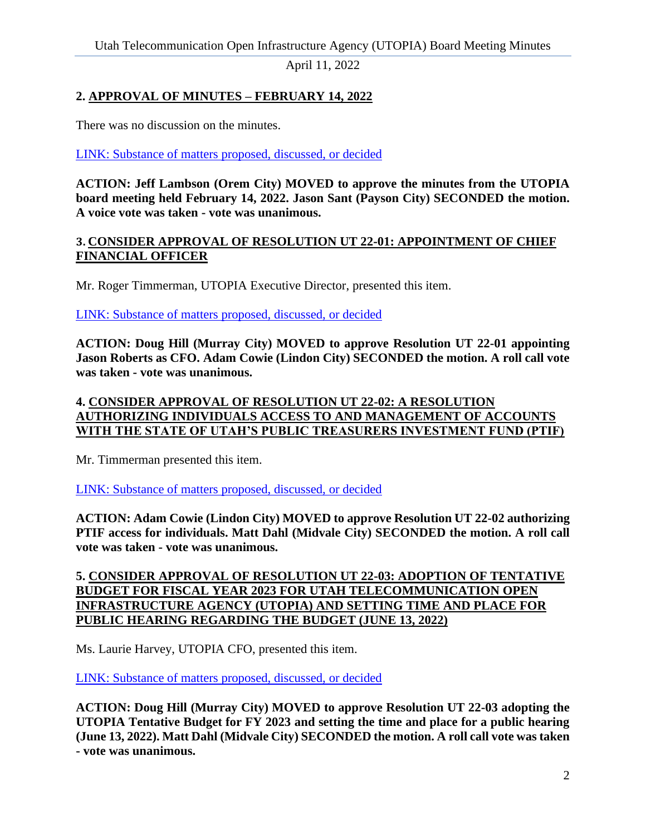April 11, 2022

# **2. APPROVAL OF MINUTES – FEBRUARY 14, 2022**

There was no discussion on the minutes.

[LINK: Substance of matters proposed, discussed, or decided](https://youtu.be/R26cSBOy9Xo?t=116)

**ACTION: Jeff Lambson (Orem City) MOVED to approve the minutes from the UTOPIA board meeting held February 14, 2022. Jason Sant (Payson City) SECONDED the motion. A voice vote was taken - vote was unanimous.**

#### **3. CONSIDER APPROVAL OF RESOLUTION UT 22-01: APPOINTMENT OF CHIEF FINANCIAL OFFICER**

Mr. Roger Timmerman, UTOPIA Executive Director, presented this item.

[LINK: Substance of matters proposed, discussed, or decided](https://youtu.be/R26cSBOy9Xo?t=183)

**ACTION: Doug Hill (Murray City) MOVED to approve Resolution UT 22-01 appointing Jason Roberts as CFO. Adam Cowie (Lindon City) SECONDED the motion. A roll call vote was taken - vote was unanimous.** 

## **4. CONSIDER APPROVAL OF RESOLUTION UT 22-02: A RESOLUTION AUTHORIZING INDIVIDUALS ACCESS TO AND MANAGEMENT OF ACCOUNTS WITH THE STATE OF UTAH'S PUBLIC TREASURERS INVESTMENT FUND (PTIF)**

Mr. Timmerman presented this item.

[LINK: Substance of matters proposed, discussed, or decided](https://youtu.be/R26cSBOy9Xo?t=733)

**ACTION: Adam Cowie (Lindon City) MOVED to approve Resolution UT 22-02 authorizing PTIF access for individuals. Matt Dahl (Midvale City) SECONDED the motion. A roll call vote was taken - vote was unanimous.** 

## **5. CONSIDER APPROVAL OF RESOLUTION UT 22-03: ADOPTION OF TENTATIVE BUDGET FOR FISCAL YEAR 2023 FOR UTAH TELECOMMUNICATION OPEN INFRASTRUCTURE AGENCY (UTOPIA) AND SETTING TIME AND PLACE FOR PUBLIC HEARING REGARDING THE BUDGET (JUNE 13, 2022)**

Ms. Laurie Harvey, UTOPIA CFO, presented this item.

[LINK: Substance of matters proposed, discussed, or decided](https://youtu.be/R26cSBOy9Xo?t=870)

**ACTION: Doug Hill (Murray City) MOVED to approve Resolution UT 22-03 adopting the UTOPIA Tentative Budget for FY 2023 and setting the time and place for a public hearing (June 13, 2022). Matt Dahl (Midvale City) SECONDED the motion. A roll call vote was taken - vote was unanimous.**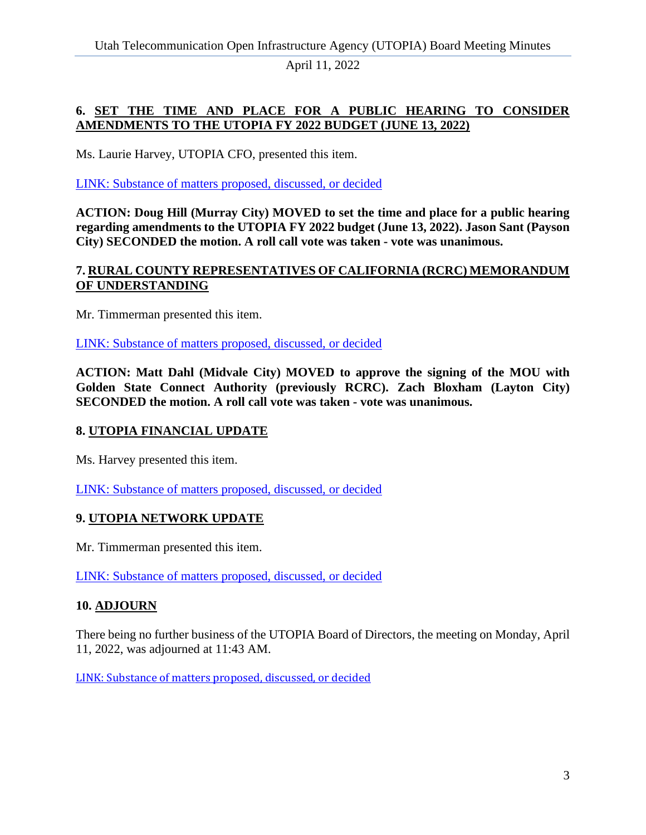April 11, 2022

# **6. SET THE TIME AND PLACE FOR A PUBLIC HEARING TO CONSIDER AMENDMENTS TO THE UTOPIA FY 2022 BUDGET (JUNE 13, 2022)**

Ms. Laurie Harvey, UTOPIA CFO, presented this item.

[LINK: Substance of matters proposed, discussed, or decided](https://youtu.be/R26cSBOy9Xo?t=4364)

**ACTION: Doug Hill (Murray City) MOVED to set the time and place for a public hearing regarding amendments to the UTOPIA FY 2022 budget (June 13, 2022). Jason Sant (Payson City) SECONDED the motion. A roll call vote was taken - vote was unanimous.** 

#### **7. RURAL COUNTY REPRESENTATIVES OF CALIFORNIA (RCRC) MEMORANDUM OF UNDERSTANDING**

Mr. Timmerman presented this item.

[LINK: Substance of matters proposed, discussed, or decided](https://youtu.be/R26cSBOy9Xo?t=4502)

**ACTION: Matt Dahl (Midvale City) MOVED to approve the signing of the MOU with Golden State Connect Authority (previously RCRC). Zach Bloxham (Layton City) SECONDED the motion. A roll call vote was taken - vote was unanimous.** 

## **8. UTOPIA FINANCIAL UPDATE**

Ms. Harvey presented this item.

[LINK: Substance of matters proposed, discussed, or decided](https://youtu.be/R26cSBOy9Xo?t=5620)

## **9. UTOPIA NETWORK UPDATE**

Mr. Timmerman presented this item.

[LINK: Substance of matters proposed, discussed, or decided](https://youtu.be/R26cSBOy9Xo?t=5923)

## **10. ADJOURN**

There being no further business of the UTOPIA Board of Directors, the meeting on Monday, April 11, 2022, was adjourned at 11:43 AM.

[LINK: Substance of matters proposed, discussed, or decided](https://youtu.be/R26cSBOy9Xo?t=6170)